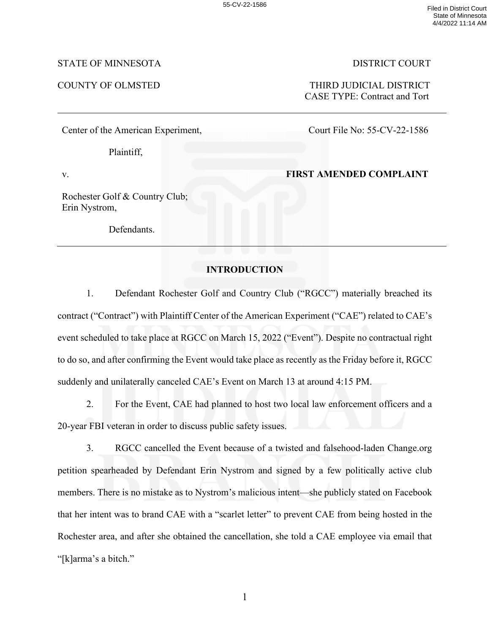## STATE OF MINNESOTA DISTRICT COURT

#### Center of the American Experiment,

Plaintiff,

v.

Rochester Golf & Country Club; Erin Nystrom,

Defendants.

COUNTY OF OLMSTED THIRD JUDICIAL DISTRICT CASE TYPE: Contract and Tort

Court File No: 55-CV-22-1586

## **FIRST AMENDED COMPLAINT**

# **INTRODUCTION**

1. Defendant Rochester Golf and Country Club ("RGCC") materially breached its contract ("Contract") with Plaintiff Center of the American Experiment ("CAE") related to CAE's event scheduled to take place at RGCC on March 15, 2022 ("Event"). Despite no contractual right to do so, and after confirming the Event would take place as recently as the Friday before it, RGCC suddenly and unilaterally canceled CAE's Event on March 13 at around 4:15 PM.

2. For the Event, CAE had planned to host two local law enforcement officers and a 20-year FBI veteran in order to discuss public safety issues.

3. RGCC cancelled the Event because of a twisted and falsehood-laden Change.org petition spearheaded by Defendant Erin Nystrom and signed by a few politically active club members. There is no mistake as to Nystrom's malicious intent—she publicly stated on Facebook that her intent was to brand CAE with a "scarlet letter" to prevent CAE from being hosted in the Rochester area, and after she obtained the cancellation, she told a CAE employee via email that "[k]arma's a bitch."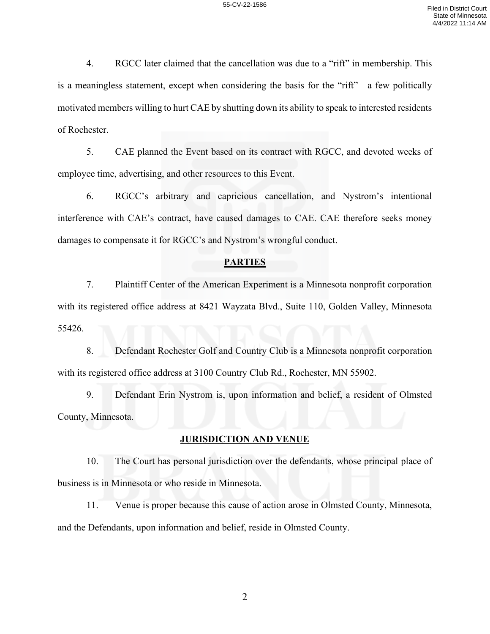4. RGCC later claimed that the cancellation was due to a "rift" in membership. This is a meaningless statement, except when considering the basis for the "rift"—a few politically motivated members willing to hurt CAE by shutting down its ability to speak to interested residents of Rochester.

5. CAE planned the Event based on its contract with RGCC, and devoted weeks of employee time, advertising, and other resources to this Event.

6. RGCC's arbitrary and capricious cancellation, and Nystrom's intentional interference with CAE's contract, have caused damages to CAE. CAE therefore seeks money damages to compensate it for RGCC's and Nystrom's wrongful conduct.

### **PARTIES**

7. Plaintiff Center of the American Experiment is a Minnesota nonprofit corporation with its registered office address at 8421 Wayzata Blvd., Suite 110, Golden Valley, Minnesota 55426.

8. Defendant Rochester Golf and Country Club is a Minnesota nonprofit corporation with its registered office address at 3100 Country Club Rd., Rochester, MN 55902.

9. Defendant Erin Nystrom is, upon information and belief, a resident of Olmsted County, Minnesota.

## **JURISDICTION AND VENUE**

10. The Court has personal jurisdiction over the defendants, whose principal place of business is in Minnesota or who reside in Minnesota.

11. Venue is proper because this cause of action arose in Olmsted County, Minnesota, and the Defendants, upon information and belief, reside in Olmsted County.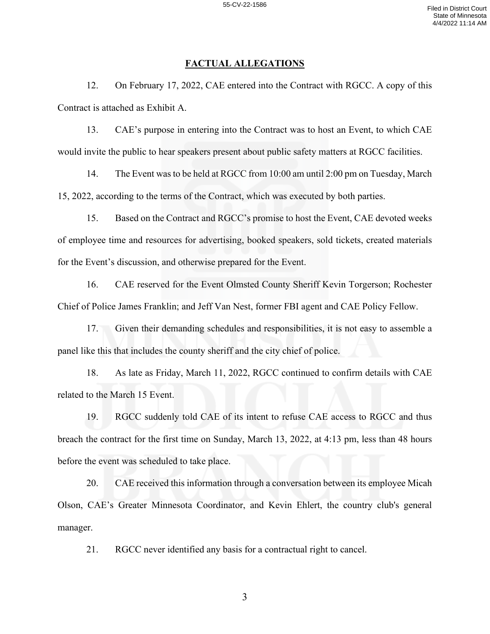# **FACTUAL ALLEGATIONS**

12. On February 17, 2022, CAE entered into the Contract with RGCC. A copy of this Contract is attached as Exhibit A.

13. CAE's purpose in entering into the Contract was to host an Event, to which CAE would invite the public to hear speakers present about public safety matters at RGCC facilities.

14. The Event wasto be held at RGCC from 10:00 am until 2:00 pm on Tuesday, March 15, 2022, according to the terms of the Contract, which was executed by both parties.

15. Based on the Contract and RGCC's promise to host the Event, CAE devoted weeks of employee time and resources for advertising, booked speakers, sold tickets, created materials for the Event's discussion, and otherwise prepared for the Event.

16. CAE reserved for the Event Olmsted County Sheriff Kevin Torgerson; Rochester Chief of Police James Franklin; and Jeff Van Nest, former FBI agent and CAE Policy Fellow.

17. Given their demanding schedules and responsibilities, it is not easy to assemble a panel like this that includes the county sheriff and the city chief of police.

18. As late as Friday, March 11, 2022, RGCC continued to confirm details with CAE related to the March 15 Event.

19. RGCC suddenly told CAE of its intent to refuse CAE access to RGCC and thus breach the contract for the first time on Sunday, March 13, 2022, at 4:13 pm, less than 48 hours before the event was scheduled to take place.

20. CAE received this information through a conversation between its employee Micah Olson, CAE's Greater Minnesota Coordinator, and Kevin Ehlert, the country club's general manager.

21. RGCC never identified any basis for a contractual right to cancel.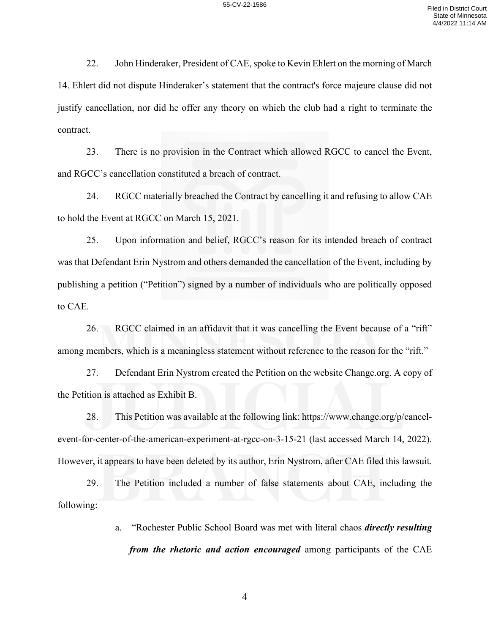22. John Hinderaker, President of CAE, spoke to Kevin Ehlert on the morning of March 14. Ehlert did not dispute Hinderaker's statement that the contract's force majeure clause did not justify cancellation, nor did he offer any theory on which the club had a right to terminate the contract.

23. There is no provision in the Contract which allowed RGCC to cancel the Event, and RGCC's cancellation constituted a breach of contract.

24. RGCC materially breached the Contract by cancelling it and refusing to allow CAE to hold the Event at RGCC on March 15, 2021.

25. Upon information and belief, RGCC's reason for its intended breach of contract was that Defendant Erin Nystrom and others demanded the cancellation of the Event, including by publishing a petition ("Petition") signed by a number of individuals who are politically opposed to CAE.

26. RGCC claimed in an affidavit that it was cancelling the Event because of a "rift" among members, which is a meaningless statement without reference to the reason for the "rift."

27. Defendant Erin Nystrom created the Petition on the website Change.org. A copy of the Petition is attached as Exhibit B.

28. This Petition was available at the following link: https://www.change.org/p/cancelevent-for-center-of-the-american-experiment-at-rgcc-on-3-15-21 (last accessed March 14, 2022). However, it appears to have been deleted by its author, Erin Nystrom, after CAE filed this lawsuit.

29. The Petition included a number of false statements about CAE, including the following:

> a. "Rochester Public School Board was met with literal chaos *directly resulting from the rhetoric and action encouraged* among participants of the CAE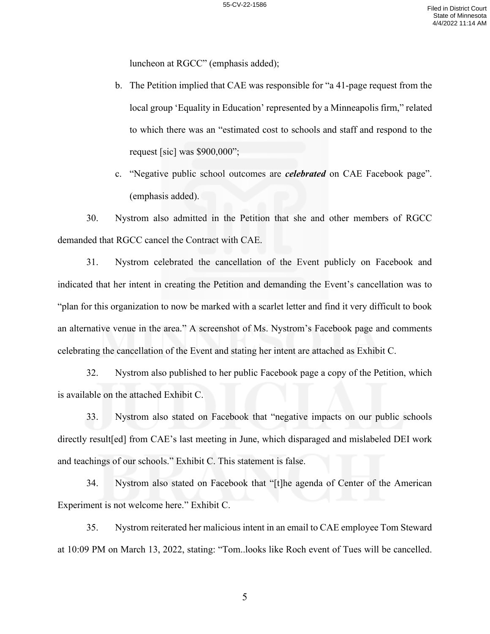luncheon at RGCC" (emphasis added);

- b. The Petition implied that CAE was responsible for "a 41-page request from the local group 'Equality in Education' represented by a Minneapolis firm," related to which there was an "estimated cost to schools and staff and respond to the request [sic] was \$900,000";
- c. "Negative public school outcomes are *celebrated* on CAE Facebook page". (emphasis added).

30. Nystrom also admitted in the Petition that she and other members of RGCC demanded that RGCC cancel the Contract with CAE.

31. Nystrom celebrated the cancellation of the Event publicly on Facebook and indicated that her intent in creating the Petition and demanding the Event's cancellation was to "plan for this organization to now be marked with a scarlet letter and find it very difficult to book an alternative venue in the area." A screenshot of Ms. Nystrom's Facebook page and comments celebrating the cancellation of the Event and stating her intent are attached as Exhibit C.

32. Nystrom also published to her public Facebook page a copy of the Petition, which is available on the attached Exhibit C.

33. Nystrom also stated on Facebook that "negative impacts on our public schools directly result[ed] from CAE's last meeting in June, which disparaged and mislabeled DEI work and teachings of our schools." Exhibit C. This statement is false.

34. Nystrom also stated on Facebook that "[t]he agenda of Center of the American Experiment is not welcome here." Exhibit C.

35. Nystrom reiterated her malicious intent in an email to CAE employee Tom Steward at 10:09 PM on March 13, 2022, stating: "Tom..looks like Roch event of Tues will be cancelled.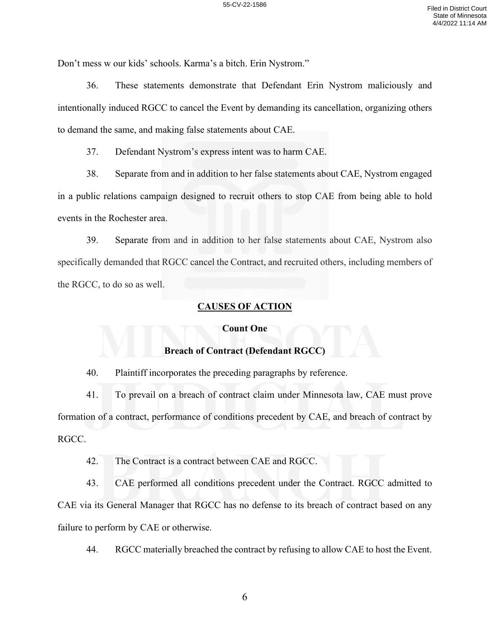Don't mess w our kids' schools. Karma's a bitch. Erin Nystrom."

36. These statements demonstrate that Defendant Erin Nystrom maliciously and intentionally induced RGCC to cancel the Event by demanding its cancellation, organizing others to demand the same, and making false statements about CAE.

37. Defendant Nystrom's express intent was to harm CAE.

38. Separate from and in addition to her false statements about CAE, Nystrom engaged in a public relations campaign designed to recruit others to stop CAE from being able to hold events in the Rochester area.

39. Separate from and in addition to her false statements about CAE, Nystrom also specifically demanded that RGCC cancel the Contract, and recruited others, including members of the RGCC, to do so as well.

## **CAUSES OF ACTION**

## **Count One**

# **Breach of Contract (Defendant RGCC)**

40. Plaintiff incorporates the preceding paragraphs by reference.

41. To prevail on a breach of contract claim under Minnesota law, CAE must prove formation of a contract, performance of conditions precedent by CAE, and breach of contract by RGCC.

42. The Contract is a contract between CAE and RGCC.

43. CAE performed all conditions precedent under the Contract. RGCC admitted to CAE via its General Manager that RGCC has no defense to its breach of contract based on any failure to perform by CAE or otherwise.

44. RGCC materially breached the contract by refusing to allow CAE to host the Event.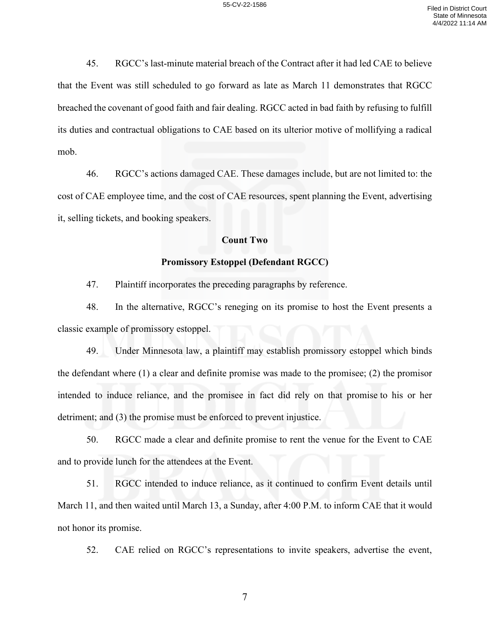45. RGCC's last-minute material breach of the Contract after it had led CAE to believe that the Event was still scheduled to go forward as late as March 11 demonstrates that RGCC breached the covenant of good faith and fair dealing. RGCC acted in bad faith by refusing to fulfill its duties and contractual obligations to CAE based on its ulterior motive of mollifying a radical mob.

46. RGCC's actions damaged CAE. These damages include, but are not limited to: the cost of CAE employee time, and the cost of CAE resources, spent planning the Event, advertising it, selling tickets, and booking speakers.

### **Count Two**

## **Promissory Estoppel (Defendant RGCC)**

47. Plaintiff incorporates the preceding paragraphs by reference.

48. In the alternative, RGCC's reneging on its promise to host the Event presents a classic example of promissory estoppel.

49. Under Minnesota law, a plaintiff may establish promissory estoppel which binds the defendant where (1) a clear and definite promise was made to the promisee; (2) the promisor intended to induce reliance, and the promisee in fact did rely on that promise to his or her detriment; and (3) the promise must be enforced to prevent injustice.

50. RGCC made a clear and definite promise to rent the venue for the Event to CAE and to provide lunch for the attendees at the Event.

51. RGCC intended to induce reliance, as it continued to confirm Event details until March 11, and then waited until March 13, a Sunday, after 4:00 P.M. to inform CAE that it would not honor its promise.

52. CAE relied on RGCC's representations to invite speakers, advertise the event,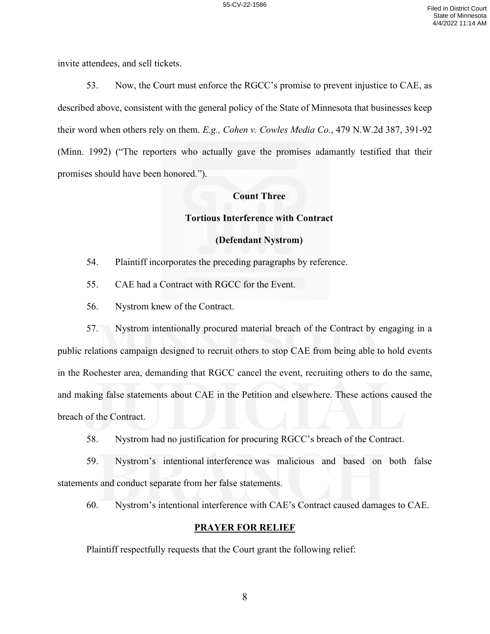invite attendees, and sell tickets.

53. Now, the Court must enforce the RGCC's promise to prevent injustice to CAE, as described above, consistent with the general policy of the State of Minnesota that businesses keep their word when others rely on them. *E.g., Cohen v. Cowles Media Co.*, 479 N.W.2d 387, 391-92 (Minn. 1992) ("The reporters who actually gave the promises adamantly testified that their promises should have been honored.").

# **Count Three**

### **Tortious Interference with Contract**

### **(Defendant Nystrom)**

54. Plaintiff incorporates the preceding paragraphs by reference.

55. CAE had a Contract with RGCC for the Event.

56. Nystrom knew of the Contract.

57. Nystrom intentionally procured material breach of the Contract by engaging in a public relations campaign designed to recruit others to stop CAE from being able to hold events in the Rochester area, demanding that RGCC cancel the event, recruiting others to do the same, and making false statements about CAE in the Petition and elsewhere. These actions caused the breach of the Contract.

58. Nystrom had no justification for procuring RGCC's breach of the Contract.

59. Nystrom's intentional interference was malicious and based on both false statements and conduct separate from her false statements.

60. Nystrom's intentional interference with CAE's Contract caused damages to CAE.

#### **PRAYER FOR RELIEF**

Plaintiff respectfully requests that the Court grant the following relief: